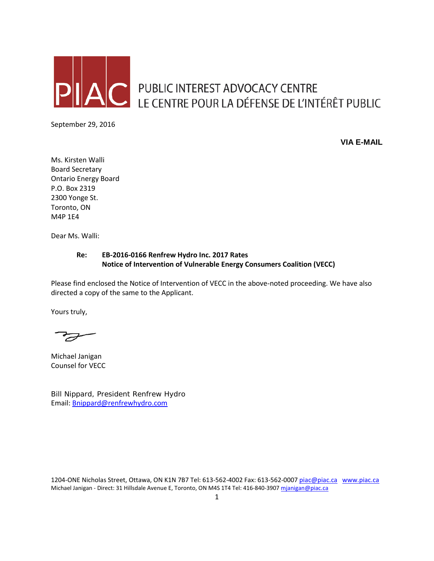

PUBLIC INTEREST ADVOCACY CENTRE<br>LE CENTRE POUR LA DÉFENSE DE L'INTÉRÊT PUBLIC

September 29, 2016

**VIA E-MAIL**

Ms. Kirsten Walli Board Secretary Ontario Energy Board P.O. Box 2319 2300 Yonge St. Toronto, ON M4P 1E4

Dear Ms. Walli:

## **Re: EB-2016-0166 Renfrew Hydro Inc. 2017 Rates Notice of Intervention of Vulnerable Energy Consumers Coalition (VECC)**

Please find enclosed the Notice of Intervention of VECC in the above-noted proceeding. We have also directed a copy of the same to the Applicant.

Yours truly,

F

Michael Janigan Counsel for VECC

Bill Nippard, President Renfrew Hydro Email: [Bnippard@renfrewhydro.com](mailto:Bnippard@renfrewhydro.com)

1204-ONE Nicholas Street, Ottawa, ON K1N 7B7 Tel: 613-562-4002 Fax: 613-562-000[7 piac@piac.ca](mailto:piac@piac.ca) [www.piac.ca](http://www.piac.ca/) Michael Janigan - Direct: 31 Hillsdale Avenue E, Toronto, ON M4S 1T4 Tel: 416-840-390[7 mjanigan@piac.ca](mailto:mjanigan@piac.ca)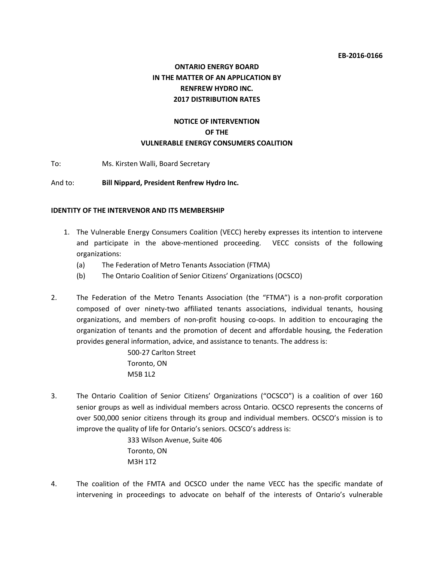# **ONTARIO ENERGY BOARD IN THE MATTER OF AN APPLICATION BY RENFREW HYDRO INC. 2017 DISTRIBUTION RATES**

## **NOTICE OF INTERVENTION OF THE VULNERABLE ENERGY CONSUMERS COALITION**

To: Ms. Kirsten Walli, Board Secretary

And to: **Bill Nippard, President Renfrew Hydro Inc.**

#### **IDENTITY OF THE INTERVENOR AND ITS MEMBERSHIP**

- 1. The Vulnerable Energy Consumers Coalition (VECC) hereby expresses its intention to intervene and participate in the above-mentioned proceeding. VECC consists of the following organizations:
	- (a) The Federation of Metro Tenants Association (FTMA)
	- (b) The Ontario Coalition of Senior Citizens' Organizations (OCSCO)
- 2. The Federation of the Metro Tenants Association (the "FTMA") is a non-profit corporation composed of over ninety-two affiliated tenants associations, individual tenants, housing organizations, and members of non-profit housing co-oops. In addition to encouraging the organization of tenants and the promotion of decent and affordable housing, the Federation provides general information, advice, and assistance to tenants. The address is:

500-27 Carlton Street Toronto, ON M5B 1L2

3. The Ontario Coalition of Senior Citizens' Organizations ("OCSCO") is a coalition of over 160 senior groups as well as individual members across Ontario. OCSCO represents the concerns of over 500,000 senior citizens through its group and individual members. OCSCO's mission is to improve the quality of life for Ontario's seniors. OCSCO's address is:

> 333 Wilson Avenue, Suite 406 Toronto, ON M3H 1T2

4. The coalition of the FMTA and OCSCO under the name VECC has the specific mandate of intervening in proceedings to advocate on behalf of the interests of Ontario's vulnerable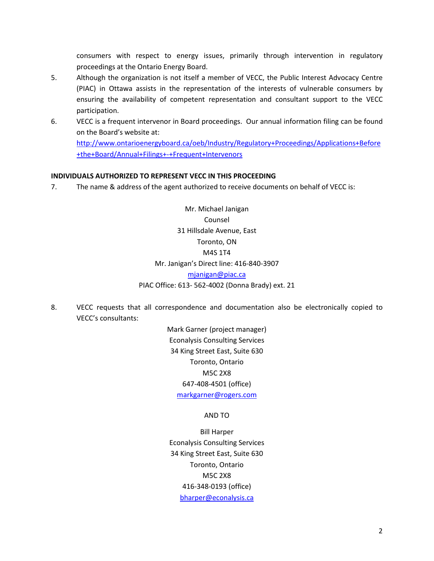consumers with respect to energy issues, primarily through intervention in regulatory proceedings at the Ontario Energy Board.

- 5. Although the organization is not itself a member of VECC, the Public Interest Advocacy Centre (PIAC) in Ottawa assists in the representation of the interests of vulnerable consumers by ensuring the availability of competent representation and consultant support to the VECC participation.
- 6. VECC is a frequent intervenor in Board proceedings. Our annual information filing can be found on the Board's website at: [http://www.ontarioenergyboard.ca/oeb/Industry/Regulatory+Proceedings/Applications+Before](http://www.ontarioenergyboard.ca/oeb/Industry/Regulatory+Proceedings/Applications+Before+the+Board/Annual+Filings+-+Frequent+Intervenors)

[+the+Board/Annual+Filings+-+Frequent+Intervenors](http://www.ontarioenergyboard.ca/oeb/Industry/Regulatory+Proceedings/Applications+Before+the+Board/Annual+Filings+-+Frequent+Intervenors)

#### **INDIVIDUALS AUTHORIZED TO REPRESENT VECC IN THIS PROCEEDING**

7. The name & address of the agent authorized to receive documents on behalf of VECC is:

Mr. Michael Janigan Counsel 31 Hillsdale Avenue, East Toronto, ON M4S 1T4 Mr. Janigan's Direct line: 416-840-3907 [mjanigan@piac.ca](mailto:mjanigan@piac.ca) PIAC Office: 613- 562-4002 (Donna Brady) ext. 21

8. VECC requests that all correspondence and documentation also be electronically copied to VECC's consultants:

> Mark Garner (project manager) Econalysis Consulting Services 34 King Street East, Suite 630 Toronto, Ontario M5C 2X8 647-408-4501 (office) [markgarner@rogers.com](mailto:markgarner@rogers.com)

#### AND TO

Bill Harper Econalysis Consulting Services 34 King Street East, Suite 630 Toronto, Ontario M5C 2X8 416-348-0193 (office) [bharper@econalysis.ca](mailto:bharper@econalysis.ca)